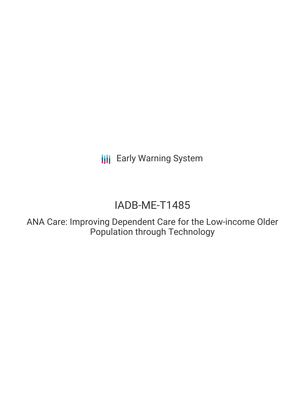**III** Early Warning System

# IADB-ME-T1485

ANA Care: Improving Dependent Care for the Low-income Older Population through Technology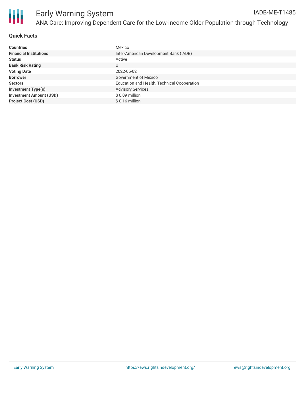

# **Quick Facts**

| <b>Countries</b>               | Mexico                                      |
|--------------------------------|---------------------------------------------|
| <b>Financial Institutions</b>  | Inter-American Development Bank (IADB)      |
| <b>Status</b>                  | Active                                      |
| <b>Bank Risk Rating</b>        | U                                           |
| <b>Voting Date</b>             | 2022-05-02                                  |
| <b>Borrower</b>                | Government of Mexico                        |
| <b>Sectors</b>                 | Education and Health, Technical Cooperation |
| <b>Investment Type(s)</b>      | <b>Advisory Services</b>                    |
| <b>Investment Amount (USD)</b> | \$0.09 million                              |
| <b>Project Cost (USD)</b>      | $$0.16$ million                             |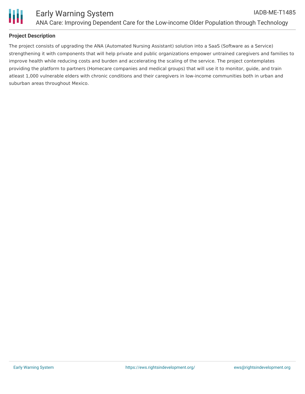

# **Project Description**

The project consists of upgrading the ANA (Automated Nursing Assistant) solution into a SaaS (Software as a Service) strengthening it with components that will help private and public organizations empower untrained caregivers and families to improve health while reducing costs and burden and accelerating the scaling of the service. The project contemplates providing the platform to partners (Homecare companies and medical groups) that will use it to monitor, guide, and train atleast 1,000 vulnerable elders with chronic conditions and their caregivers in low-income communities both in urban and suburban areas throughout Mexico.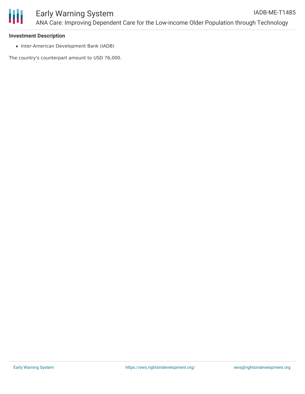

### **Investment Description**

• Inter-American Development Bank (IADB)

The country's counterpart amount to USD 76,000.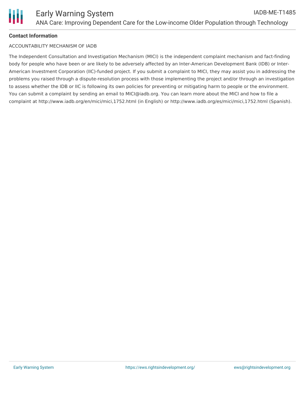# **Contact Information**

# ACCOUNTABILITY MECHANISM OF IADB

The Independent Consultation and Investigation Mechanism (MICI) is the independent complaint mechanism and fact-finding body for people who have been or are likely to be adversely affected by an Inter-American Development Bank (IDB) or Inter-American Investment Corporation (IIC)-funded project. If you submit a complaint to MICI, they may assist you in addressing the problems you raised through a dispute-resolution process with those implementing the project and/or through an investigation to assess whether the IDB or IIC is following its own policies for preventing or mitigating harm to people or the environment. You can submit a complaint by sending an email to MICI@iadb.org. You can learn more about the MICI and how to file a complaint at http://www.iadb.org/en/mici/mici,1752.html (in English) or http://www.iadb.org/es/mici/mici,1752.html (Spanish).